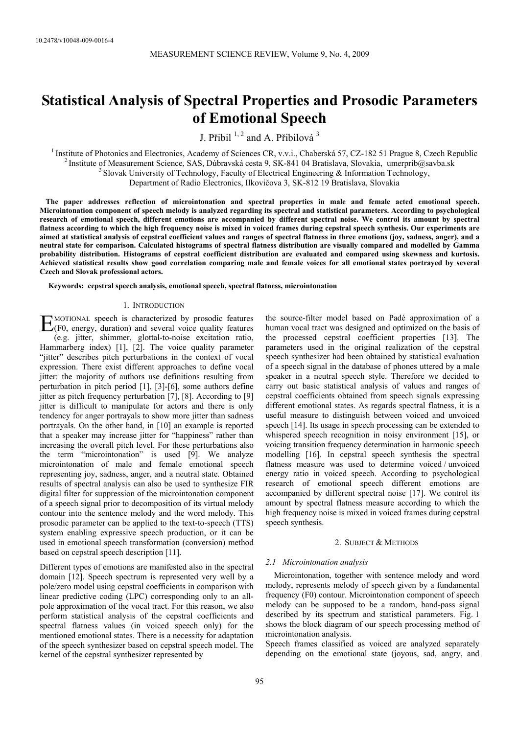# **Statistical Analysis of Spectral Properties and Prosodic Parameters of Emotional Speech**

J. Přibil <sup>1, 2</sup> and A. Přibilová <sup>3</sup>

<sup>1</sup> Institute of Photonics and Electronics, Academy of Sciences CR, v.v.i., Chaberská 57, CZ-182 51 Prague 8, Czech Republic <sup>2</sup> Institute of Measurement Science, SAS, Dúbravská cesta 9, SK-841 04 Bratislava, Slovakia, um Department of Radio Electronics, Ilkovičova 3, SK-812 19 Bratislava, Slovakia

**The paper addresses reflection of microintonation and spectral properties in male and female acted emotional speech. Microintonation component of speech melody is analyzed regarding its spectral and statistical parameters. According to psychological research of emotional speech, different emotions are accompanied by different spectral noise. We control its amount by spectral flatness according to which the high frequency noise is mixed in voiced frames during cepstral speech synthesis. Our experiments are aimed at statistical analysis of cepstral coefficient values and ranges of spectral flatness in three emotions (joy, sadness, anger), and a neutral state for comparison. Calculated histograms of spectral flatness distribution are visually compared and modelled by Gamma probability distribution. Histograms of cepstral coefficient distribution are evaluated and compared using skewness and kurtosis. Achieved statistical results show good correlation comparing male and female voices for all emotional states portrayed by several Czech and Slovak professional actors.** 

**Keywords: cepstral speech analysis, emotional speech, spectral flatness, microintonation** 

#### 1. INTRODUCTION

MOTIONAL speech is characterized by prosodic features **EXECUTE ANOTIONAL speech is characterized by prosodic features**<br>
(F0, energy, duration) and several voice quality features (e.g. jitter, shimmer, glottal-to-noise excitation ratio, Hammarberg index) [1], [2]. The voice quality parameter "jitter" describes pitch perturbations in the context of vocal expression. There exist different approaches to define vocal jitter: the majority of authors use definitions resulting from perturbation in pitch period [1], [3]-[6], some authors define jitter as pitch frequency perturbation [7], [8]. According to [9] jitter is difficult to manipulate for actors and there is only tendency for anger portrayals to show more jitter than sadness portrayals. On the other hand, in [10] an example is reported that a speaker may increase jitter for "happiness" rather than increasing the overall pitch level. For these perturbations also the term "microintonation" is used [9]. We analyze microintonation of male and female emotional speech representing joy, sadness, anger, and a neutral state. Obtained results of spectral analysis can also be used to synthesize FIR digital filter for suppression of the microintonation component of a speech signal prior to decomposition of its virtual melody contour into the sentence melody and the word melody. This prosodic parameter can be applied to the text-to-speech (TTS) system enabling expressive speech production, or it can be used in emotional speech transformation (conversion) method based on cepstral speech description [11].

Different types of emotions are manifested also in the spectral domain [12]. Speech spectrum is represented very well by a pole/zero model using cepstral coefficients in comparison with linear predictive coding (LPC) corresponding only to an allpole approximation of the vocal tract. For this reason, we also perform statistical analysis of the cepstral coefficients and spectral flatness values (in voiced speech only) for the mentioned emotional states. There is a necessity for adaptation of the speech synthesizer based on cepstral speech model. The kernel of the cepstral synthesizer represented by

the source-filter model based on Padé approximation of a human vocal tract was designed and optimized on the basis of the processed cepstral coefficient properties [13]. The parameters used in the original realization of the cepstral speech synthesizer had been obtained by statistical evaluation of a speech signal in the database of phones uttered by a male speaker in a neutral speech style. Therefore we decided to carry out basic statistical analysis of values and ranges of cepstral coefficients obtained from speech signals expressing different emotional states. As regards spectral flatness, it is a useful measure to distinguish between voiced and unvoiced speech [14]. Its usage in speech processing can be extended to whispered speech recognition in noisy environment [15], or voicing transition frequency determination in harmonic speech modelling [16]. In cepstral speech synthesis the spectral flatness measure was used to determine voiced / unvoiced energy ratio in voiced speech. According to psychological research of emotional speech different emotions are accompanied by different spectral noise [17]. We control its amount by spectral flatness measure according to which the high frequency noise is mixed in voiced frames during cepstral speech synthesis.

### 2. SUBJECT & METHODS

#### *2.1 Microintonation analysis*

Microintonation, together with sentence melody and word melody, represents melody of speech given by a fundamental frequency (F0) contour. Microintonation component of speech melody can be supposed to be a random, band-pass signal described by its spectrum and statistical parameters. Fig. 1 shows the block diagram of our speech processing method of microintonation analysis.

Speech frames classified as voiced are analyzed separately depending on the emotional state (joyous, sad, angry, and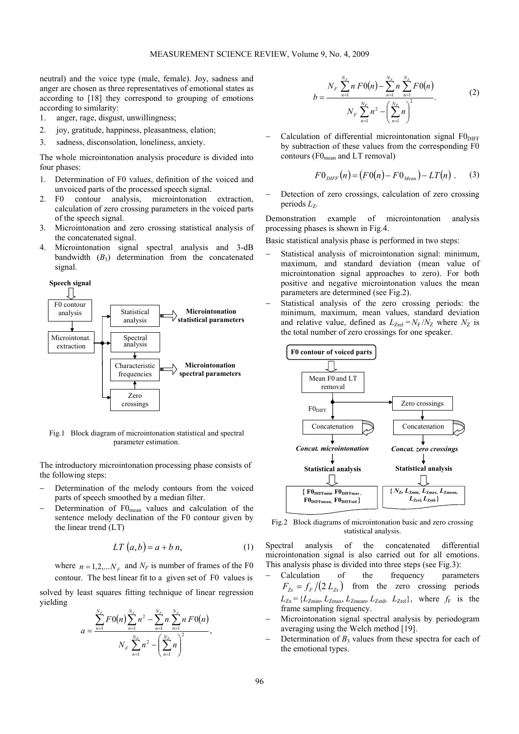neutral) and the voice type (male, female). Joy, sadness and anger are chosen as three representatives of emotional states as according to [18] they correspond to grouping of emotions according to similarity:

- 1. anger, rage, disgust, unwillingness;
- 2. joy, gratitude, happiness, pleasantness, elation;
- 3. sadness, disconsolation, loneliness, anxiety.

The whole microintonation analysis procedure is divided into four phases:

- 1. Determination of F0 values, definition of the voiced and unvoiced parts of the processed speech signal.
- 2. F0 contour analysis, microintonation extraction, calculation of zero crossing parameters in the voiced parts of the speech signal.
- 3. Microintonation and zero crossing statistical analysis of the concatenated signal.
- 4. Microintonation signal spectral analysis and 3-dB bandwidth  $(B_3)$  determination from the concatenated signal.



Fig.1 Block diagram of microintonation statistical and spectral parameter estimation.

The introductory microintonation processing phase consists of the following steps:

- Determination of the melody contours from the voiced parts of speech smoothed by a median filter.
- Determination of F0<sub>mean</sub> values and calculation of the sentence melody declination of the F0 contour given by the linear trend (LT)

$$
LT(a,b) = a + b n,
$$
 (1)

where  $n = 1, 2, \ldots N_F$  and  $N_F$  is number of frames of the F0 contour. The best linear fit to a given set of F0 values is

solved by least squares fitting technique of linear regression yielding

$$
a = \frac{\sum_{n=1}^{N_F} F0(n) \sum_{n=1}^{N_F} n^2 - \sum_{n=1}^{N_F} n \sum_{n=1}^{N_F} n F0(n)}{N_F \sum_{n=1}^{N_F} n^2 - \left(\sum_{n=1}^{N_F} n\right)^2},
$$

$$
b = \frac{N_F \sum_{n=1}^{N_F} n F 0(n) - \sum_{n=1}^{N_F} n \sum_{n=1}^{N_F} F 0(n)}{N_F \sum_{n=1}^{N_F} n^2 - \left(\sum_{n=1}^{N_F} n\right)^2}.
$$
 (2)

 $Calculation$  of differential microintonation signal  $F0<sub>DIFF</sub>$ by subtraction of these values from the corresponding F0 contours ( $F0_{mean}$  and LT removal)

$$
F0_{\text{DIFF}}(n) = (F0(n) - F0_{\text{Mean}}) - LT(n)
$$
. (3)

Detection of zero crossings, calculation of zero crossing periods  $L_z$ .

Demonstration example of microintonation analysis processing phases is shown in Fig.4.

Basic statistical analysis phase is performed in two steps:

- Statistical analysis of microintonation signal: minimum, maximum, and standard deviation (mean value of microintonation signal approaches to zero). For both positive and negative microintonation values the mean parameters are determined (see Fig.2).
- Statistical analysis of the zero crossing periods: the minimum, maximum, mean values, standard deviation and relative value, defined as  $L_{Zrel} = N_F / N_Z$  where  $N_Z$  is the total number of zero crossings for one speaker.



Fig.2 Block diagrams of microintonation basic and zero crossing statistical analysis.

Spectral analysis of the concatenated differential microintonation signal is also carried out for all emotions. This analysis phase is divided into three steps (see Fig.3):

- − Calculation of the frequency parameters  $F_{Zx} = f_F/(2 L_{Zx})$  from the zero crossing periods  $L_{Zx} = \{L_{Zmin}, L_{Zmax}, L_{Zmean}, L_{Zstd}, L_{Zrel}\}$ , where  $f_F$  is the frame sampling frequency.
- Microintonation signal spectral analysis by periodogram averaging using the Welch method [19].
- Determination of  $B_3$  values from these spectra for each of the emotional types.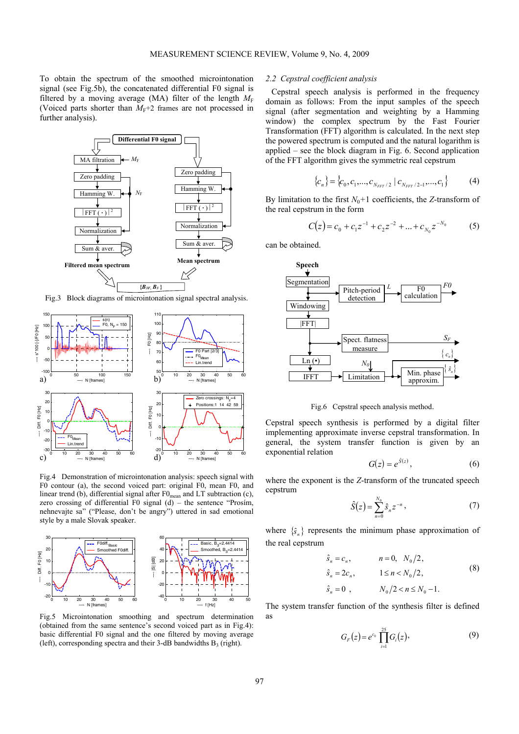To obtain the spectrum of the smoothed microintonation signal (see Fig.5b), the concatenated differential F0 signal is filtered by a moving average (MA) filter of the length  $M_F$ (Voiced parts shorter than  $M_F$ +2 frames are not processed in further analysis).



Fig.3 Block diagrams of microintonation signal spectral analysis.



Fig.4 Demonstration of microintonation analysis: speech signal with F0 contour (a), the second voiced part: original F0, mean F0, and linear trend (b), differential signal after  $F0_{\text{mean}}$  and LT subtraction (c), zero crossing of differential F0 signal (d) – the sentence "Prosím, nehnevajte sa" ("Please, don't be angry") uttered in sad emotional style by a male Slovak speaker.



Fig.5 Microintonation smoothing and spectrum determination (obtained from the same sentence's second voiced part as in Fig.4): basic differential F0 signal and the one filtered by moving average (left), corresponding spectra and their 3-dB bandwidths  $B_3$  (right).

## *2.2 Cepstral coefficient analysis*

Cepstral speech analysis is performed in the frequency domain as follows: From the input samples of the speech signal (after segmentation and weighting by a Hamming window) the complex spectrum by the Fast Fourier Transformation (FFT) algorithm is calculated. In the next step the powered spectrum is computed and the natural logarithm is applied – see the block diagram in Fig. 6. Second application of the FFT algorithm gives the symmetric real cepstrum

$$
\{c_n\} = \{c_0, c_1, \dots, c_{N_{FFT}/2} \mid c_{N_{FFT}/2-1}, \dots, c_1\}
$$
 (4)

By limitation to the first  $N_0+1$  coefficients, the *Z*-transform of the real cepstrum in the form

$$
C(z) = c_0 + c_1 z^{-1} + c_2 z^{-2} + \dots + c_{N_0} z^{-N_0}
$$
 (5)

can be obtained.



Fig.6 Cepstral speech analysis method.

Cepstral speech synthesis is performed by a digital filter implementing approximate inverse cepstral transformation. In general, the system transfer function is given by an exponential relation

$$
G(z) = e^{\hat{S}(z)},\tag{6}
$$

where the exponent is the *Z*-transform of the truncated speech cepstrum

$$
\hat{S}(z) = \sum_{n=0}^{N_0} \hat{S}_n z^{-n},
$$
\n(7)

where  $\{\hat{s}\}\$  represents the minimum phase approximation of the real cepstrum

$$
\hat{s}_n = c_n, \qquad n = 0, \ N_0/2, \n\hat{s}_n = 2c_n, \qquad 1 \le n < N_0/2, \n\hat{s}_n = 0, \qquad N_0/2 < n \le N_0 - 1.
$$
\n(8)

The system transfer function of the synthesis filter is defined as

$$
G_F(z) = e^{c_0} \prod_{i=1}^{25} G_i(z), \qquad (9)
$$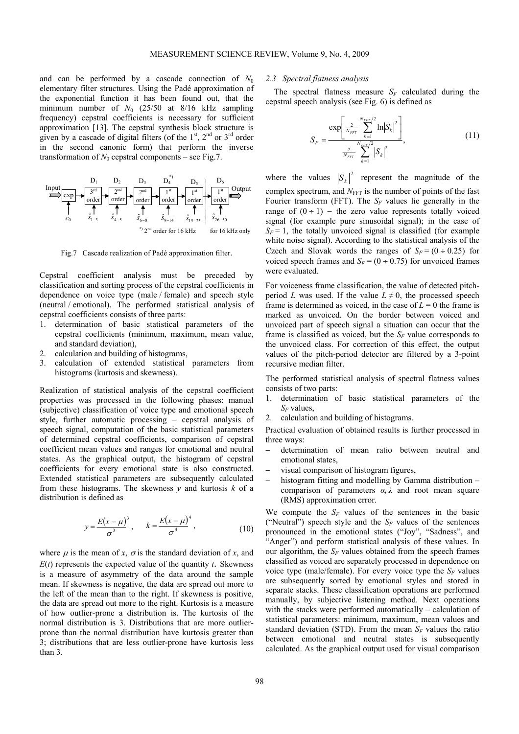and can be performed by a cascade connection of  $N_0$ elementary filter structures. Using the Padé approximation of the exponential function it has been found out, that the minimum number of  $N_0$  (25/50 at 8/16 kHz sampling frequency) cepstral coefficients is necessary for sufficient approximation [13]. The cepstral synthesis block structure is given by a cascade of digital filters (of the  $1<sup>st</sup>$ ,  $2<sup>nd</sup>$  or  $3<sup>rd</sup>$  order in the second canonic form) that perform the inverse transformation of  $N_0$  cepstral components – see Fig.7.



Fig.7 Cascade realization of Padé approximation filter.

Cepstral coefficient analysis must be preceded by classification and sorting process of the cepstral coefficients in dependence on voice type (male / female) and speech style (neutral / emotional). The performed statistical analysis of cepstral coefficients consists of three parts:

- 1. determination of basic statistical parameters of the cepstral coefficients (minimum, maximum, mean value, and standard deviation),
- 2. calculation and building of histograms,
- 3. calculation of extended statistical parameters from histograms (kurtosis and skewness).

Realization of statistical analysis of the cepstral coefficient properties was processed in the following phases: manual (subjective) classification of voice type and emotional speech style, further automatic processing – cepstral analysis of speech signal, computation of the basic statistical parameters of determined cepstral coefficients, comparison of cepstral coefficient mean values and ranges for emotional and neutral states. As the graphical output, the histogram of cepstral coefficients for every emotional state is also constructed. Extended statistical parameters are subsequently calculated from these histograms. The skewness *y* and kurtosis *k* of a distribution is defined as

$$
y = \frac{E(x - \mu)^3}{\sigma^3}
$$
,  $k = \frac{E(x - \mu)^4}{\sigma^4}$ , (10)

where  $\mu$  is the mean of *x*,  $\sigma$  is the standard deviation of *x*, and  $E(t)$  represents the expected value of the quantity *t*. Skewness is a measure of asymmetry of the data around the sample mean. If skewness is negative, the data are spread out more to the left of the mean than to the right. If skewness is positive, the data are spread out more to the right. Kurtosis is a measure of how outlier-prone a distribution is. The kurtosis of the normal distribution is 3. Distributions that are more outlierprone than the normal distribution have kurtosis greater than 3; distributions that are less outlier-prone have kurtosis less than 3.

#### *2.3 Spectral flatness analysis*

The spectral flatness measure  $S_F$  calculated during the cepstral speech analysis (see Fig. 6) is defined as

$$
S_F = \frac{\exp\left[\frac{2}{N_{FFT}} \sum_{k=1}^{N_{FFT}/2} \ln |S_k|^2\right]}{\frac{2}{N_{FFT}} \sum_{k=1}^{N_{FFT}/2} |S_k|^2},
$$
(11)

where the values  $|S_k|^2$  represent the magnitude of the complex spectrum, and  $N<sub>FFT</sub>$  is the number of points of the fast Fourier transform (FFT). The  $S_F$  values lie generally in the range of  $(0 \div 1)$  – the zero value represents totally voiced signal (for example pure sinusoidal signal); in the case of  $S_F = 1$ , the totally unvoiced signal is classified (for example white noise signal). According to the statistical analysis of the Czech and Slovak words the ranges of  $S_F = (0 \div 0.25)$  for voiced speech frames and  $S_F = (0 \div 0.75)$  for unvoiced frames were evaluated.

For voiceness frame classification, the value of detected pitchperiod *L* was used. If the value  $L \neq 0$ , the processed speech frame is determined as voiced, in the case of  $L = 0$  the frame is marked as unvoiced. On the border between voiced and unvoiced part of speech signal a situation can occur that the frame is classified as voiced, but the  $S_F$  value corresponds to the unvoiced class. For correction of this effect, the output values of the pitch-period detector are filtered by a 3-point recursive median filter.

The performed statistical analysis of spectral flatness values consists of two parts:

- 1. determination of basic statistical parameters of the *SF* values,
- 2. calculation and building of histograms.

Practical evaluation of obtained results is further processed in three ways:

- − determination of mean ratio between neutral and emotional states,
- visual comparison of histogram figures,
- histogram fitting and modelling by Gamma distribution comparison of parameters *α, λ* and root mean square (RMS) approximation error.

We compute the  $S_F$  values of the sentences in the basic ("Neutral") speech style and the  $S_F$  values of the sentences pronounced in the emotional states ("Joy", "Sadness", and "Anger") and perform statistical analysis of these values. In our algorithm, the  $S_F$  values obtained from the speech frames classified as voiced are separately processed in dependence on voice type (male/female). For every voice type the  $S_F$  values are subsequently sorted by emotional styles and stored in separate stacks. These classification operations are performed manually, by subjective listening method. Next operations with the stacks were performed automatically – calculation of statistical parameters: minimum, maximum, mean values and standard deviation (STD). From the mean  $S_F$  values the ratio between emotional and neutral states is subsequently calculated. As the graphical output used for visual comparison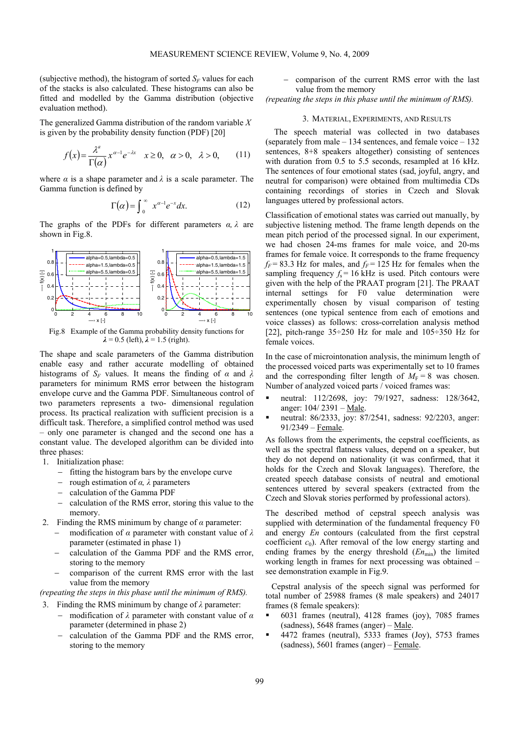(subjective method), the histogram of sorted  $S_F$  values for each of the stacks is also calculated. These histograms can also be fitted and modelled by the Gamma distribution (objective evaluation method).

The generalized Gamma distribution of the random variable *X* is given by the probability density function (PDF) [20]

$$
f(x) = \frac{\lambda^a}{\Gamma(\alpha)} x^{\alpha - 1} e^{-\lambda x} \quad x \ge 0, \quad \alpha > 0, \quad \lambda > 0,
$$
 (11)

where  $\alpha$  is a shape parameter and  $\lambda$  is a scale parameter. The Gamma function is defined by

$$
\Gamma(\alpha) = \int_0^\infty x^{\alpha-1} e^{-x} dx.
$$
 (12)

The graphs of the PDFs for different parameters  $\alpha$ ,  $\lambda$  are shown in Fig.8.



Fig.8 Example of the Gamma probability density functions for  $\lambda$  = 0.5 (left),  $\lambda$  = 1.5 (right).

The shape and scale parameters of the Gamma distribution enable easy and rather accurate modelling of obtained histograms of  $S_F$  values. It means the finding of  $\alpha$  and  $\lambda$ parameters for minimum RMS error between the histogram envelope curve and the Gamma PDF. Simultaneous control of two parameters represents a two- dimensional regulation process. Its practical realization with sufficient precision is a difficult task. Therefore, a simplified control method was used – only one parameter is changed and the second one has a constant value. The developed algorithm can be divided into three phases:

- 1. Initialization phase:
	- − fitting the histogram bars by the envelope curve
	- − rough estimation of *α, λ* parameters
	- − calculation of the Gamma PDF
	- − calculation of the RMS error, storing this value to the memory.
- 2. Finding the RMS minimum by change of *α* parameter:
	- − modification of *α* parameter with constant value of *λ* parameter (estimated in phase 1)
	- − calculation of the Gamma PDF and the RMS error, storing to the memory
	- − comparison of the current RMS error with the last value from the memory

*(repeating the steps in this phase until the minimum of RMS).* 

3. Finding the RMS minimum by change of *λ* parameter:

- − modification of *λ* parameter with constant value of *α* parameter (determined in phase 2)
- − calculation of the Gamma PDF and the RMS error, storing to the memory

comparison of the current RMS error with the last value from the memory

*(repeating the steps in this phase until the minimum of RMS).* 

#### 3. MATERIAL, EXPERIMENTS, AND RESULTS

The speech material was collected in two databases (separately from male  $-134$  sentences, and female voice  $-132$ ) sentences, 8+8 speakers altogether) consisting of sentences with duration from 0.5 to 5.5 seconds, resampled at 16 kHz. The sentences of four emotional states (sad, joyful, angry, and neutral for comparison) were obtained from multimedia CDs containing recordings of stories in Czech and Slovak languages uttered by professional actors.

Classification of emotional states was carried out manually, by subjective listening method. The frame length depends on the mean pitch period of the processed signal. In our experiment, we had chosen 24-ms frames for male voice, and 20-ms frames for female voice. It corresponds to the frame frequency  $f_F = 83.3$  Hz for males, and  $f_F = 125$  Hz for females when the sampling frequency  $f_s = 16$  kHz is used. Pitch contours were given with the help of the PRAAT program [21]. The PRAAT internal settings for F0 value determination were experimentally chosen by visual comparison of testing sentences (one typical sentence from each of emotions and voice classes) as follows: cross-correlation analysis method [22], pitch-range  $35\div 250$  Hz for male and  $105\div 350$  Hz for female voices.

In the case of microintonation analysis, the minimum length of the processed voiced parts was experimentally set to 10 frames and the corresponding filter length of  $M_F = 8$  was chosen. Number of analyzed voiced parts / voiced frames was:

- neutral: 112/2698, joy: 79/1927, sadness: 128/3642, anger: 104/ 2391 – Male.
- neutral: 86/2333, joy: 87/2541, sadness: 92/2203, anger: 91/2349 – Female.

As follows from the experiments, the cepstral coefficients, as well as the spectral flatness values, depend on a speaker, but they do not depend on nationality (it was confirmed, that it holds for the Czech and Slovak languages). Therefore, the created speech database consists of neutral and emotional sentences uttered by several speakers (extracted from the Czech and Slovak stories performed by professional actors).

The described method of cepstral speech analysis was supplied with determination of the fundamental frequency F0 and energy *En* contours (calculated from the first cepstral coefficient  $c_0$ ). After removal of the low energy starting and ending frames by the energy threshold  $(En<sub>min</sub>)$  the limited working length in frames for next processing was obtained – see demonstration example in Fig.9.

Cepstral analysis of the speech signal was performed for total number of 25988 frames (8 male speakers) and 24017 frames (8 female speakers):

- 6031 frames (neutral), 4128 frames (joy), 7085 frames (sadness), 5648 frames (anger) – Male.
- $\blacksquare$  4472 frames (neutral), 5333 frames (Joy), 5753 frames (sadness), 5601 frames (anger) – Female.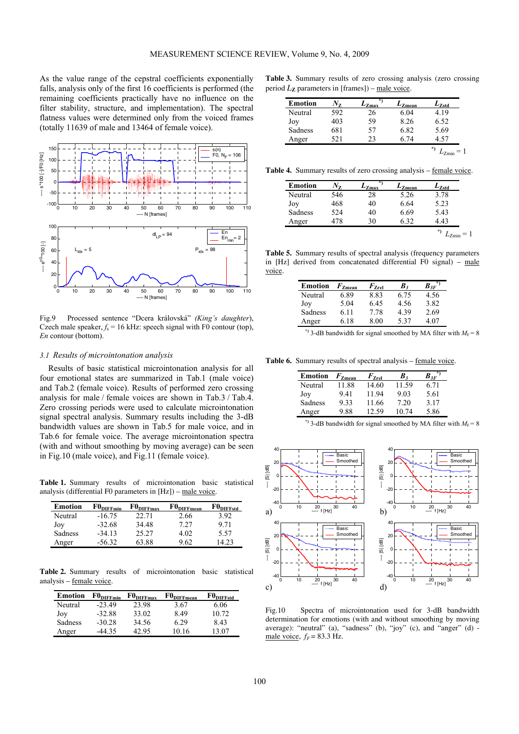As the value range of the cepstral coefficients exponentially falls, analysis only of the first 16 coefficients is performed (the remaining coefficients practically have no influence on the filter stability, structure, and implementation). The spectral flatness values were determined only from the voiced frames (totally 11639 of male and 13464 of female voice).



Fig.9 Processed sentence "Dcera královská" *(King's daughter*), Czech male speaker,  $f_s = 16$  kHz: speech signal with F0 contour (top), *En* contour (bottom).

#### *3.1 Results of microintonation analysis*

Results of basic statistical microintonation analysis for all four emotional states are summarized in Tab.1 (male voice) and Tab.2 (female voice). Results of performed zero crossing analysis for male / female voices are shown in Tab.3 / Tab.4. Zero crossing periods were used to calculate microintonation signal spectral analysis. Summary results including the 3-dB bandwidth values are shown in Tab.5 for male voice, and in Tab.6 for female voice. The average microintonation spectra (with and without smoothing by moving average) can be seen in Fig.10 (male voice), and Fig.11 (female voice).

**Table 1.** Summary results of microintonation basic statistical analysis (differential F0 parameters in [Hz]) – male voice.

| <b>Emotion</b> | $F0_{\text{DIFFmin}}$ | $F0_{\text{DIFFmax}}$ | $\mathrm{F0}_{\mathrm{DIFFmean}}$ | $\mathrm{F0}_{\mathrm{DIFFstd}}$ |
|----------------|-----------------------|-----------------------|-----------------------------------|----------------------------------|
| Neutral        | $-16.75$              | 22.71                 | 2.66                              | 3.92                             |
| Joy            | $-32.68$              | 34.48                 | 7.27                              | 971                              |
| Sadness        | $-34.13$              | 25.27                 | 4 02                              | 5.57                             |
| Anger          | $-5632$               | 63.88                 | 9.62                              | 423                              |

**Table 2.** Summary results of microintonation basic statistical analysis – female voice.

| <b>Emotion</b> | $F0_{\text{DIFFmin}}$ | $F0_{\text{DIFFmax}}$ | $F0_{\text{DIFFmean}}$ | $\mathrm{F0}_{\mathrm{DIFFstd}}$ |
|----------------|-----------------------|-----------------------|------------------------|----------------------------------|
| Neutral        | $-23.49$              | 23.98                 | 3.67                   | 6.06                             |
| Joy            | $-32.88$              | 33.02                 | 849                    | 10.72                            |
| Sadness        | $-30.28$              | 34.56                 | 6 29                   | 8.43                             |
| Anger          | -44 35                | 42.95                 | 10.16                  | 13.07                            |

**Table 3.** Summary results of zero crossing analysis (zero crossing period  $L_{\mathbf{Z}}$  parameters in [frames]) – male voice.

| <b>Emotion</b> | V7  | ÷<br>$-7$ max | $L_{Zmean}$ | $L_{\rm Zstd}$ |
|----------------|-----|---------------|-------------|----------------|
| Neutral        | 592 | 26            | 6.04        | 4.19           |
| Joy            | 403 | 59            | 8.26        | 6.52           |
| Sadness        | 681 | 57            | 6.82        | 5.69           |
| Anger          | 521 | 23            | 6 74        | 4 57           |

**Table 4.** Summary results of zero crossing analysis – female voice.

| <b>Emotion</b> | Vz  | ÷<br>$L_{\text{Zmax}}$ | $L_{Zmean}$ | $L_{Zstd}$ |
|----------------|-----|------------------------|-------------|------------|
| Neutral        | 546 | 28                     | 5.26        | 3.78       |
| Joy            | 468 | 40                     | 6.64        | 5.23       |
| Sadness        | 524 | 40                     | 6.69        | 5.43       |
| Anger          | 478 | 30                     | 632         | 4 43       |

**Table 5.** Summary results of spectral analysis (frequency parameters in [Hz] derived from concatenated differential F0 signal) – male voice.

| <b>Emotion</b> | $F_{\rm Zmean}$ | $F_{\rm Zrel}$ | B,   | $\bm{B}_{3F}$ |
|----------------|-----------------|----------------|------|---------------|
| Neutral        | 6.89            | 8.83           | 6.75 | 4.56          |
| Joy            | 5.04            | 6.45           | 4.56 | 3.82          |
| Sadness        | 6 1 1           | 7 78           | 439  | 2.69          |
| Anger          | 6 18            | 8.00           | 537  | 4 07          |

\*) 3-dB bandwidth for signal smoothed by MA filter with  $M_F = 8$ 

**Table 6.** Summary results of spectral analysis – female voice.

| Emotion | $F_{\rm Zmean}$ | $F_{\rm Zrel}$ | B.    | $B_{3F}$ |
|---------|-----------------|----------------|-------|----------|
| Neutral | 11.88           | 14.60          | 11.59 | 6.71     |
| Joy     | 941             | 1194           | 9.03  | 5.61     |
| Sadness | 933             | 11.66          | 7.20  | 3.17     |
| Anger   | 9.88            | 12.59          | 10 74 | 5.86     |

<sup>\*</sup>) 3-dB bandwidth for signal smoothed by MA filter with  $M_F = 8$ 



Fig.10 Spectra of microintonation used for 3-dB bandwidth determination for emotions (with and without smoothing by moving average): "neutral" (a), "sadness" (b), "joy" (c), and "anger" (d) male voice,  $f_F$  = 83.3 Hz.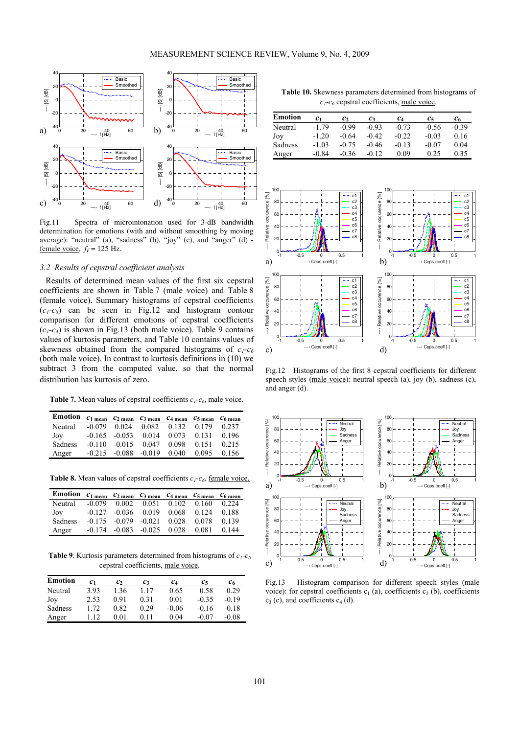

Fig.11 Spectra of microintonation used for 3-dB bandwidth determination for emotions (with and without smoothing by moving average): "neutral" (a), "sadness" (b), "joy" (c), and "anger" (d) female voice,  $f_F$  = 125 Hz.

## *3.2 Results of cepstral coefficient analysis*

Results of determined mean values of the first six cepstral coefficients are shown in Table 7 (male voice) and Table 8 (female voice). Summary histograms of cepstral coefficients  $(c_1-c_8)$  can be seen in Fig.12 and histogram contour comparison for different emotions of cepstral coefficients  $(c_1-c_4)$  is shown in Fig.13 (both male voice). Table 9 contains values of kurtosis parameters, and Table 10 contains values of skewness obtained from the compared histograms of  $c_1-c_6$ (both male voice). In contrast to kurtosis definitions in (10) we subtract 3 from the computed value, so that the normal distribution has kurtosis of zero.

**Table 7.** Mean values of cepstral coefficients  $c_1 - c_6$ , male voice.

| Emotion $c_1$ mean $c_2$ mean $c_3$ mean $c_4$ mean $c_5$ mean $c_6$ mean |  |                                            |  |       |
|---------------------------------------------------------------------------|--|--------------------------------------------|--|-------|
| Neutral -0.079 0.024 0.082 0.132 0.179 0.237                              |  |                                            |  |       |
| Joy                                                                       |  | $-0.165$ $-0.053$ $0.014$ $0.073$ $0.131$  |  | 0.196 |
| Sadness                                                                   |  | $-0.110$ $-0.015$ $0.047$ $0.098$ $0.151$  |  | 0.215 |
| Anger                                                                     |  | $-0.215$ $-0.088$ $-0.019$ $0.040$ $0.095$ |  | 0.156 |

Table 8. Mean values of cepstral coefficients  $c_1$ - $c_6$ , <u>female voice.</u>

| Emotion $c_1$ mean $c_2$ mean $c_3$ mean $c_4$ mean $c_5$ mean $c_6$ mean |  |                                                    |  |  |
|---------------------------------------------------------------------------|--|----------------------------------------------------|--|--|
| Neutral -0.079 0.002 0.051 0.102 0.160 0.224                              |  |                                                    |  |  |
| Joy                                                                       |  | $-0.127$ $-0.036$ $0.019$ $0.068$ $0.124$ $0.188$  |  |  |
| Sadness                                                                   |  | $-0.175$ $-0.079$ $-0.021$ $0.028$ $0.078$ $0.139$ |  |  |
| Anger                                                                     |  | $-0.174$ $-0.083$ $-0.025$ $0.028$ $0.081$ $0.144$ |  |  |

**Table 9**. Kurtosis parameters determined from histograms of  $c_1$ - $c_6$ cepstral coefficients, male voice.

| Emotion | $c_{1}$ | $\mathfrak{c}_2$ | $c_3$ | $c_4$   | Cч      | $c_{6}$ |
|---------|---------|------------------|-------|---------|---------|---------|
| Neutral | 3.93    | 1.36             | 1.17  | 0.65    | 0.58    | 0.29    |
| Joy     | 2.53    | 0.91             | 0.31  | 0.01    | $-0.35$ | $-0.19$ |
| Sadness | 1.72    | 0.82             | 0.29  | $-0.06$ | $-0.16$ | $-0.18$ |
| Anger   | 112     | 0.01             | 0.11  | 0.04    | $-0.07$ | $-0.08$ |

**Table 10.** Skewness parameters determined from histograms of  $c_1-c_6$  cepstral coefficients, male voice.

| <b>Emotion</b> | С1      | $\mathfrak{c}_2$ | C٦      | $c_4$   | Cе      | C6      |
|----------------|---------|------------------|---------|---------|---------|---------|
| Neutral        | $-179$  | $-0.99$          | $-0.93$ | $-0.73$ | $-0.56$ | $-0.39$ |
| Joy            | $-1.20$ | -0.64            | $-0.42$ | $-0.22$ | $-0.03$ | 0.16    |
| Sadness        | $-1.03$ | $-0.75$          | $-0.46$ | $-0.13$ | $-0.07$ | 0.04    |
| Anger          | -0.84   | -0.36            | $-0.12$ | 0.09    | 0.25    | 0.35    |



Fig.12 Histograms of the first 8 cepstral coefficients for different speech styles (male voice): neutral speech (a), joy (b), sadness (c), and anger (d).



Fig.13 Histogram comparison for different speech styles (male voice): for cepstral coefficients  $c_1$  (a), coefficients  $c_2$  (b), coefficients  $c_3$  (c), and coefficients  $c_4$  (d).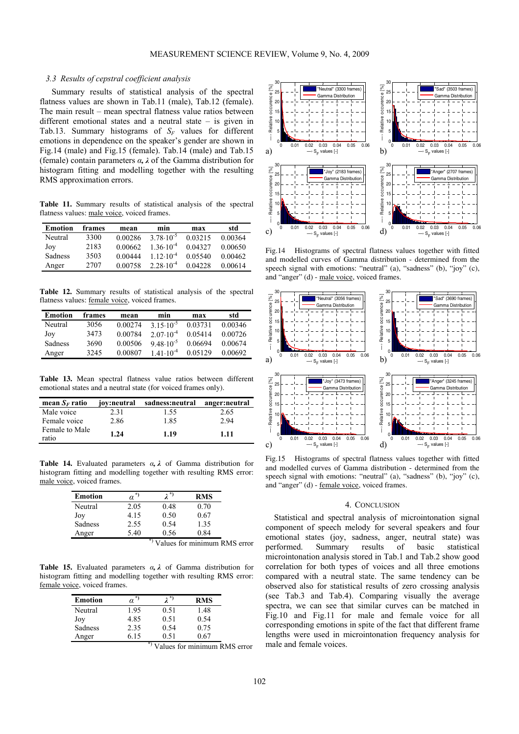## *3.3 Results of cepstral coefficient analysis*

Summary results of statistical analysis of the spectral flatness values are shown in Tab.11 (male), Tab.12 (female). The main result – mean spectral flatness value ratios between different emotional states and a neutral state – is given in Tab.13. Summary histograms of *SF* values for different emotions in dependence on the speaker's gender are shown in Fig.14 (male) and Fig.15 (female). Tab.14 (male) and Tab.15 (female) contain parameters *α, λ* of the Gamma distribution for histogram fitting and modelling together with the resulting RMS approximation errors.

**Table 11.** Summary results of statistical analysis of the spectral flatness values: male voice, voiced frames.

| <b>Emotion</b> | frames | mean        | min                  | max     | std     |
|----------------|--------|-------------|----------------------|---------|---------|
| Neutral        | 3300   | 0.00286     | $378.10^{-5}$        | 0.03215 | 0.00364 |
| Joy            | 2183   | 0.00662     | $1.36 \cdot 10^{-4}$ | 0.04327 | 0.00650 |
| <b>Sadness</b> | 3503   | 0 0 0 4 4 4 | $112.10^{-4}$        | 0.05540 | 0.00462 |
| Anger          | 2.707  | 0.00758     | $2.28 \cdot 10^{-4}$ | 0.04228 | 0.00614 |

**Table 12.** Summary results of statistical analysis of the spectral flatness values: female voice, voiced frames.

| Emotion | frames | mean    | min                  | max     | std     |
|---------|--------|---------|----------------------|---------|---------|
| Neutral | 3056   | 0.00274 | $3.15 \cdot 10^{-5}$ | 0.03731 | 0.00346 |
| Joy     | 3473   | 0.00784 | $2.07 \cdot 10^{-4}$ | 0.05414 | 0.00726 |
| Sadness | 3690   | 0.00506 | $9,48.10^{-5}$       | 0.06694 | 0.00674 |
| Anger   | 3245   | 0.00807 | $141.10^{-4}$        | 0.05129 | 0.00692 |

**Table 13.** Mean spectral flatness value ratios between different emotional states and a neutral state (for voiced frames only).

| mean $S_F$ ratio        | jov:neutral | sadness:neutral | anger:neutral |
|-------------------------|-------------|-----------------|---------------|
| Male voice              | 2.31        | 1.55            | 2.65          |
| Female voice            | 2.86        | 1.85            | 2.94          |
| Female to Male<br>ratio | 1.24        | 1.19            | 1.11          |

**Table 14.** Evaluated parameters *α, λ* of Gamma distribution for histogram fitting and modelling together with resulting RMS error: male voice, voiced frames.

| <b>Emotion</b> | $\alpha^*$ | 2*)  | <b>RMS</b> |
|----------------|------------|------|------------|
| Neutral        | 2.05       | 0.48 | 0.70       |
| Joy            | 4.15       | 0.50 | 0.67       |
| Sadness        | 2.55       | 0.54 | 1.35       |
| Anger          | 5.40       | 0.56 | 0 84       |

 $<sup>3</sup>$  Values for minimum RMS error</sup>

**Table 15.** Evaluated parameters *α, λ* of Gamma distribution for histogram fitting and modelling together with resulting RMS error: female voice, voiced frames.

| <b>Emotion</b> | $\alpha^*$ |      | <b>RMS</b> |
|----------------|------------|------|------------|
| Neutral        | 1.95       | 0.51 | 1.48       |
| Joy            | 4.85       | 0.51 | 0.54       |
| Sadness        | 2.35       | 0.54 | 0.75       |
| Anger          | 6.15       | 0.51 | .67        |

Values for minimum RMS error



Fig.14 Histograms of spectral flatness values together with fitted and modelled curves of Gamma distribution - determined from the speech signal with emotions: "neutral" (a), "sadness" (b), "joy" (c), and "anger" (d) - male voice, voiced frames.



Fig.15 Histograms of spectral flatness values together with fitted and modelled curves of Gamma distribution - determined from the speech signal with emotions: "neutral" (a), "sadness" (b), "joy" (c), and "anger" (d) - female voice, voiced frames.

#### 4. CONCLUSION

Statistical and spectral analysis of microintonation signal component of speech melody for several speakers and four emotional states (joy, sadness, anger, neutral state) was performed. Summary results of basic statistical microintonation analysis stored in Tab.1 and Tab.2 show good correlation for both types of voices and all three emotions compared with a neutral state. The same tendency can be observed also for statistical results of zero crossing analysis (see Tab.3 and Tab.4). Comparing visually the average spectra, we can see that similar curves can be matched in Fig.10 and Fig.11 for male and female voice for all corresponding emotions in spite of the fact that different frame lengths were used in microintonation frequency analysis for male and female voices.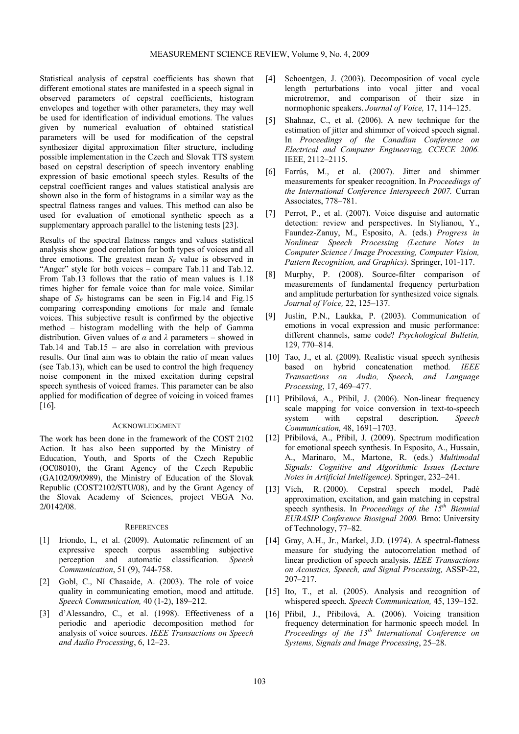Statistical analysis of cepstral coefficients has shown that different emotional states are manifested in a speech signal in observed parameters of cepstral coefficients, histogram envelopes and together with other parameters, they may well be used for identification of individual emotions. The values given by numerical evaluation of obtained statistical parameters will be used for modification of the cepstral synthesizer digital approximation filter structure, including possible implementation in the Czech and Slovak TTS system based on cepstral description of speech inventory enabling expression of basic emotional speech styles. Results of the cepstral coefficient ranges and values statistical analysis are shown also in the form of histograms in a similar way as the spectral flatness ranges and values. This method can also be used for evaluation of emotional synthetic speech as a supplementary approach parallel to the listening tests [23].

Results of the spectral flatness ranges and values statistical analysis show good correlation for both types of voices and all three emotions. The greatest mean  $S_F$  value is observed in "Anger" style for both voices – compare Tab.11 and Tab.12. From Tab.13 follows that the ratio of mean values is 1.18 times higher for female voice than for male voice. Similar shape of  $S_F$  histograms can be seen in Fig.14 and Fig.15 comparing corresponding emotions for male and female voices. This subjective result is confirmed by the objective method – histogram modelling with the help of Gamma distribution. Given values of *α* and *λ* parameters – showed in Tab.14 and Tab.15 – are also in correlation with previous results. Our final aim was to obtain the ratio of mean values (see Tab.13), which can be used to control the high frequency noise component in the mixed excitation during cepstral speech synthesis of voiced frames. This parameter can be also applied for modification of degree of voicing in voiced frames [16].

## ACKNOWLEDGMENT

The work has been done in the framework of the COST 2102 Action. It has also been supported by the Ministry of Education, Youth, and Sports of the Czech Republic (OC08010), the Grant Agency of the Czech Republic (GA102/09/0989), the Ministry of Education of the Slovak Republic (COST2102/STU/08), and by the Grant Agency of the Slovak Academy of Sciences, project VEGA No. 2/0142/08.

#### **REFERENCES**

- [1] Iriondo, I., et al. (2009). Automatic refinement of an expressive speech corpus assembling subjective perception and automatic classification*. Speech Communication*, 51 (9), 744-758.
- [2] Gobl, C., Ní Chasaide, A. (2003). The role of voice quality in communicating emotion, mood and attitude. *Speech Communication,* 40 (1-2), 189–212.
- [3] d'Alessandro, C., et al. (1998). Effectiveness of a periodic and aperiodic decomposition method for analysis of voice sources. *IEEE Transactions on Speech and Audio Processing*, 6, 12–23.
- [4] Schoentgen, J. (2003). Decomposition of vocal cycle length perturbations into vocal jitter and vocal microtremor, and comparison of their size in normophonic speakers. *Journal of Voice,* 17, 114–125.
- [5] Shahnaz, C., et al. (2006). A new technique for the estimation of jitter and shimmer of voiced speech signal. In *Proceedings of the Canadian Conference on Electrical and Computer Engineering, CCECE 2006.* IEEE, 2112–2115.
- [6] Farrús, M., et al. (2007). Jitter and shimmer measurements for speaker recognition. In *Proceedings of the International Conference Interspeech 2007.* Curran Associates, 778–781.
- [7] Perrot, P., et al. (2007). Voice disguise and automatic detection: review and perspectives. In Stylianou, Y., Faundez-Zanuy, M., Esposito, A. (eds.) *Progress in Nonlinear Speech Processing (Lecture Notes in Computer Science / Image Processing, Computer Vision, Pattern Recognition, and Graphics).* Springer, 101-117.
- [8] Murphy, P. (2008). Source-filter comparison of measurements of fundamental frequency perturbation and amplitude perturbation for synthesized voice signals*. Journal of Voice,* 22, 125–137.
- [9] Juslin, P.N., Laukka, P. (2003). Communication of emotions in vocal expression and music performance: different channels, same code? *Psychological Bulletin,* 129, 770–814.
- [10] Tao, J., et al. (2009). Realistic visual speech synthesis based on hybrid concatenation method*. IEEE Transactions on Audio, Speech, and Language Processing*, 17, 469–477.
- [11] Přibilová, A., Přibil, J. (2006). Non-linear frequency scale mapping for voice conversion in text-to-speech system with cepstral description*. Speech Communication,* 48, 1691–1703.
- [12] Přibilová, A., Přibil, J. (2009). Spectrum modification for emotional speech synthesis. In Esposito, A., Hussain, A., Marinaro, M., Martone, R. (eds.) *Multimodal Signals: Cognitive and Algorithmic Issues (Lecture Notes in Artificial Intelligence).* Springer, 232–241.
- [13] Vích, R. (2000). Cepstral speech model, Padé approximation, excitation, and gain matching in cepstral speech synthesis. In *Proceedings of the 15<sup>th</sup> Biennial EURASIP Conference Biosignal 2000.* Brno: University of Technology, 77–82.
- [14] Gray, A.H., Jr., Markel, J.D. (1974). A spectral-flatness measure for studying the autocorrelation method of linear prediction of speech analysis. *IEEE Transactions on Acoustics, Speech, and Signal Processing,* ASSP-22, 207–217.
- [15] Ito, T., et al. (2005). Analysis and recognition of whispered speech*. Speech Communication,* 45, 139–152.
- [16] Přibil, J., Přibilová, A. (2006). Voicing transition frequency determination for harmonic speech model*.* In *Proceedings of the 13th International Conference on Systems, Signals and Image Processing*, 25–28.